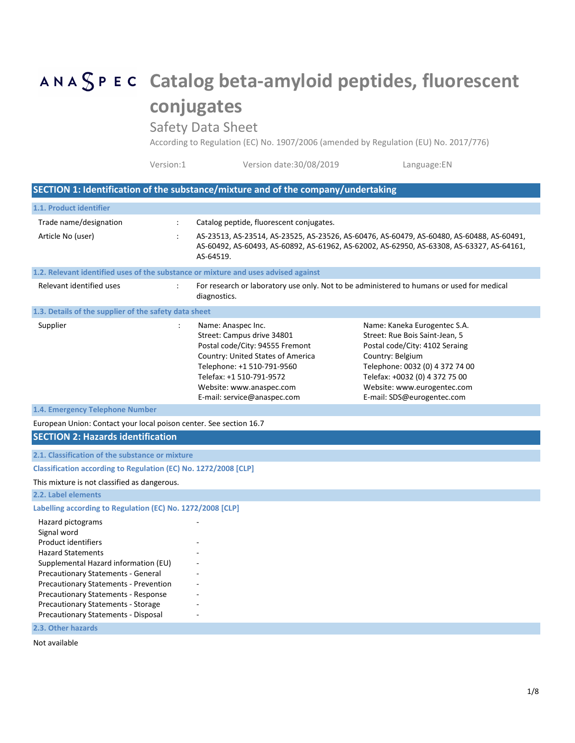# **Catalog beta-amyloid peptides, fluorescent conjugates**

Safety Data Sheet

According to Regulation (EC) No. 1907/2006 (amended by Regulation (EU) No. 2017/776)

| Version date:30/08/2019<br>Version:1<br>Language:EN |  |
|-----------------------------------------------------|--|
|-----------------------------------------------------|--|

## **SECTION 1: Identification of the substance/mixture and of the company/undertaking**

| 1.1. Product identifier                                                                                                                                                                                                                                                                                                                                           |                |                                                                                                                                                                                                                                               |                                                                                                                                                                                                                                                        |  |
|-------------------------------------------------------------------------------------------------------------------------------------------------------------------------------------------------------------------------------------------------------------------------------------------------------------------------------------------------------------------|----------------|-----------------------------------------------------------------------------------------------------------------------------------------------------------------------------------------------------------------------------------------------|--------------------------------------------------------------------------------------------------------------------------------------------------------------------------------------------------------------------------------------------------------|--|
| Trade name/designation                                                                                                                                                                                                                                                                                                                                            | ÷              | Catalog peptide, fluorescent conjugates.                                                                                                                                                                                                      |                                                                                                                                                                                                                                                        |  |
| Article No (user)                                                                                                                                                                                                                                                                                                                                                 | $\ddot{\cdot}$ | AS-23513, AS-23514, AS-23525, AS-23526, AS-60476, AS-60479, AS-60480, AS-60488, AS-60491,<br>AS-60492, AS-60493, AS-60892, AS-61962, AS-62002, AS-62950, AS-63308, AS-63327, AS-64161,<br>AS-64519.                                           |                                                                                                                                                                                                                                                        |  |
| 1.2. Relevant identified uses of the substance or mixture and uses advised against                                                                                                                                                                                                                                                                                |                |                                                                                                                                                                                                                                               |                                                                                                                                                                                                                                                        |  |
| Relevant identified uses                                                                                                                                                                                                                                                                                                                                          |                | For research or laboratory use only. Not to be administered to humans or used for medical<br>diagnostics.                                                                                                                                     |                                                                                                                                                                                                                                                        |  |
| 1.3. Details of the supplier of the safety data sheet                                                                                                                                                                                                                                                                                                             |                |                                                                                                                                                                                                                                               |                                                                                                                                                                                                                                                        |  |
| Supplier                                                                                                                                                                                                                                                                                                                                                          | $\cdot$        | Name: Anaspec Inc.<br>Street: Campus drive 34801<br>Postal code/City: 94555 Fremont<br>Country: United States of America<br>Telephone: +1 510-791-9560<br>Telefax: +1 510-791-9572<br>Website: www.anaspec.com<br>E-mail: service@anaspec.com | Name: Kaneka Eurogentec S.A.<br>Street: Rue Bois Saint-Jean, 5<br>Postal code/City: 4102 Seraing<br>Country: Belgium<br>Telephone: 0032 (0) 4 372 74 00<br>Telefax: +0032 (0) 4 372 75 00<br>Website: www.eurogentec.com<br>E-mail: SDS@eurogentec.com |  |
| 1.4. Emergency Telephone Number                                                                                                                                                                                                                                                                                                                                   |                |                                                                                                                                                                                                                                               |                                                                                                                                                                                                                                                        |  |
| European Union: Contact your local poison center. See section 16.7                                                                                                                                                                                                                                                                                                |                |                                                                                                                                                                                                                                               |                                                                                                                                                                                                                                                        |  |
| <b>SECTION 2: Hazards identification</b>                                                                                                                                                                                                                                                                                                                          |                |                                                                                                                                                                                                                                               |                                                                                                                                                                                                                                                        |  |
| 2.1. Classification of the substance or mixture                                                                                                                                                                                                                                                                                                                   |                |                                                                                                                                                                                                                                               |                                                                                                                                                                                                                                                        |  |
| Classification according to Regulation (EC) No. 1272/2008 [CLP]                                                                                                                                                                                                                                                                                                   |                |                                                                                                                                                                                                                                               |                                                                                                                                                                                                                                                        |  |
| This mixture is not classified as dangerous.                                                                                                                                                                                                                                                                                                                      |                |                                                                                                                                                                                                                                               |                                                                                                                                                                                                                                                        |  |
| 2.2. Label elements                                                                                                                                                                                                                                                                                                                                               |                |                                                                                                                                                                                                                                               |                                                                                                                                                                                                                                                        |  |
| Labelling according to Regulation (EC) No. 1272/2008 [CLP]                                                                                                                                                                                                                                                                                                        |                |                                                                                                                                                                                                                                               |                                                                                                                                                                                                                                                        |  |
| Hazard pictograms<br>Signal word<br><b>Product identifiers</b><br><b>Hazard Statements</b><br>Supplemental Hazard information (EU)<br><b>Precautionary Statements - General</b><br><b>Precautionary Statements - Prevention</b><br><b>Precautionary Statements - Response</b><br><b>Precautionary Statements - Storage</b><br>Precautionary Statements - Disposal |                |                                                                                                                                                                                                                                               |                                                                                                                                                                                                                                                        |  |
| 2.3. Other hazards                                                                                                                                                                                                                                                                                                                                                |                |                                                                                                                                                                                                                                               |                                                                                                                                                                                                                                                        |  |

Not available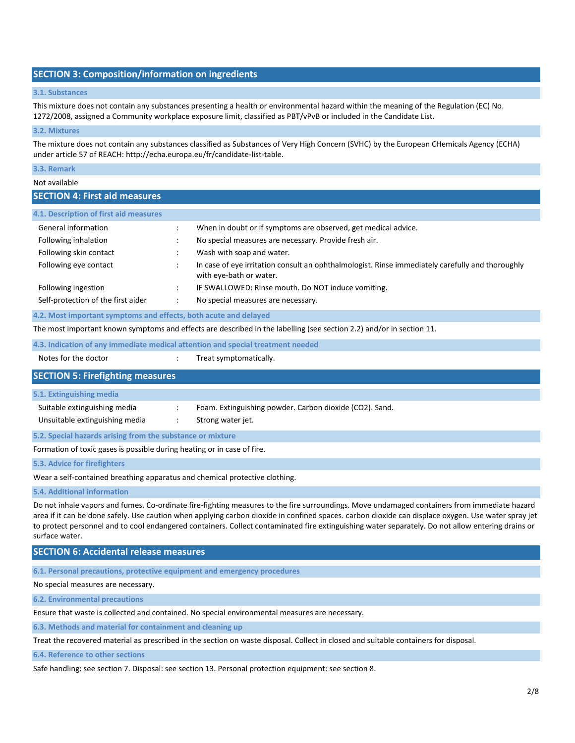## **SECTION 3: Composition/information on ingredients**

#### **3.1. Substances**

This mixture does not contain any substances presenting a health or environmental hazard within the meaning of the Regulation (EC) No. 1272/2008, assigned a Community workplace exposure limit, classified as PBT/vPvB or included in the Candidate List.

#### **3.2. Mixtures**

The mixture does not contain any substances classified as Substances of Very High Concern (SVHC) by the European CHemicals Agency (ECHA) under article 57 of REACH: http://echa.europa.eu/fr/candidate-list-table.

## **3.3. Remark**

## Not available

## **SECTION 4: First aid measures**

| 4.1. Description of first aid measures                                                                                                                                                                                                                                                                                 |                                                                                                                             |
|------------------------------------------------------------------------------------------------------------------------------------------------------------------------------------------------------------------------------------------------------------------------------------------------------------------------|-----------------------------------------------------------------------------------------------------------------------------|
| General information                                                                                                                                                                                                                                                                                                    | When in doubt or if symptoms are observed, get medical advice.                                                              |
| Following inhalation                                                                                                                                                                                                                                                                                                   | No special measures are necessary. Provide fresh air.                                                                       |
| Following skin contact                                                                                                                                                                                                                                                                                                 | Wash with soap and water.                                                                                                   |
| Following eye contact                                                                                                                                                                                                                                                                                                  | In case of eye irritation consult an ophthalmologist. Rinse immediately carefully and thoroughly<br>with eye-bath or water. |
| Following ingestion                                                                                                                                                                                                                                                                                                    | IF SWALLOWED: Rinse mouth. Do NOT induce vomiting.                                                                          |
| Self-protection of the first aider                                                                                                                                                                                                                                                                                     | No special measures are necessary.                                                                                          |
| $\overline{a}$ , and $\overline{a}$ , and $\overline{a}$ , and $\overline{a}$ , and $\overline{a}$ , and $\overline{a}$ , and $\overline{a}$ , and $\overline{a}$ , and $\overline{a}$ , and $\overline{a}$ , and $\overline{a}$ , and $\overline{a}$ , and $\overline{a}$ , and $\overline{a}$ , and $\overline{a}$ , |                                                                                                                             |

#### **4.2. Most important symptoms and effects, both acute and delayed**

The most important known symptoms and effects are described in the labelling (see section 2.2) and/or in section 11.

**4.3. Indication of any immediate medical attention and special treatment needed**

Notes for the doctor  $\cdot$   $\cdot$  Treat symptomatically.

## **SECTION 5: Firefighting measures**

#### **5.1. Extinguishing media**

Suitable extinguishing media : Foam. Extinguishing powder. Carbon dioxide (CO2). Sand. Unsuitable extinguishing media : Strong water jet.

**5.2. Special hazards arising from the substance or mixture**

Formation of toxic gases is possible during heating or in case of fire.

**5.3. Advice for firefighters**

Wear a self-contained breathing apparatus and chemical protective clothing.

**5.4. Additional information**

Do not inhale vapors and fumes. Co-ordinate fire-fighting measures to the fire surroundings. Move undamaged containers from immediate hazard area if it can be done safely. Use caution when applying carbon dioxide in confined spaces. carbon dioxide can displace oxygen. Use water spray jet to protect personnel and to cool endangered containers. Collect contaminated fire extinguishing water separately. Do not allow entering drains or surface water.

## **SECTION 6: Accidental release measures**

**6.1. Personal precautions, protective equipment and emergency procedures**

No special measures are necessary.

**6.2. Environmental precautions**

Ensure that waste is collected and contained. No special environmental measures are necessary.

**6.3. Methods and material for containment and cleaning up**

Treat the recovered material as prescribed in the section on waste disposal. Collect in closed and suitable containers for disposal.

**6.4. Reference to other sections**

Safe handling: see section 7. Disposal: see section 13. Personal protection equipment: see section 8.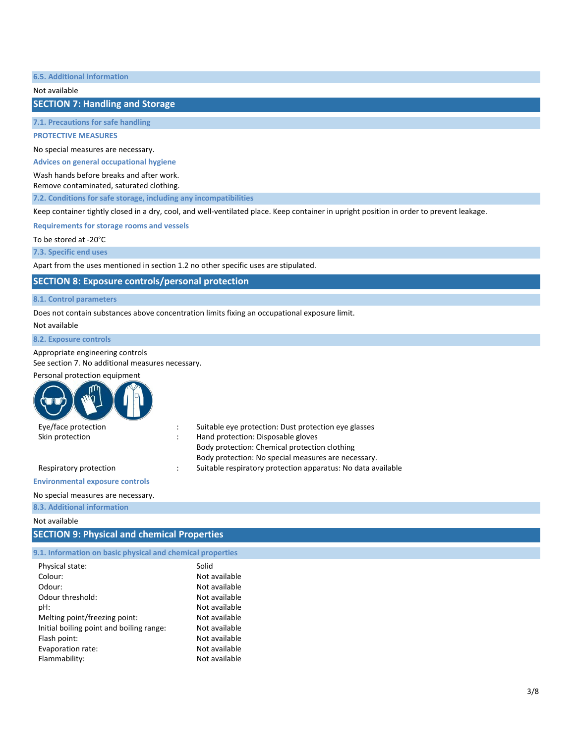**6.5. Additional information**

Not available

**SECTION 7: Handling and Storage**

**7.1. Precautions for safe handling**

**PROTECTIVE MEASURES**

No special measures are necessary.

**Advices on general occupational hygiene**

Wash hands before breaks and after work.

Remove contaminated, saturated clothing.

**7.2. Conditions for safe storage, including any incompatibilities**

Keep container tightly closed in a dry, cool, and well-ventilated place. Keep container in upright position in order to prevent leakage.

**Requirements for storage rooms and vessels**

To be stored at -20°C

**7.3. Specific end uses**

Apart from the uses mentioned in section 1.2 no other specific uses are stipulated.

## **SECTION 8: Exposure controls/personal protection**

#### **8.1. Control parameters**

Does not contain substances above concentration limits fixing an occupational exposure limit.

Not available

#### **8.2. Exposure controls**

#### Appropriate engineering controls

See section 7. No additional measures necessary.

#### Personal protection equipment

| Eye/face protection    | Suitable eye protection: Dust protection eye glasses         |
|------------------------|--------------------------------------------------------------|
| Skin protection        | Hand protection: Disposable gloves                           |
|                        | Body protection: Chemical protection clothing                |
|                        | Body protection: No special measures are necessary.          |
| Respiratory protection | Suitable respiratory protection apparatus: No data available |
|                        |                                                              |

## **Environmental exposure controls**

#### No special measures are necessary.

## **8.3. Additional information**

Not available

## **SECTION 9: Physical and chemical Properties**

| 9.1. Information on basic physical and chemical properties |  |  |
|------------------------------------------------------------|--|--|
|------------------------------------------------------------|--|--|

| Physical state:                          | Solid         |
|------------------------------------------|---------------|
| Colour:                                  | Not available |
| Odour:                                   | Not available |
| Odour threshold:                         | Not available |
| pH:                                      | Not available |
| Melting point/freezing point:            | Not available |
| Initial boiling point and boiling range: | Not available |
| Flash point:                             | Not available |
| Evaporation rate:                        | Not available |
| Flammability:                            | Not available |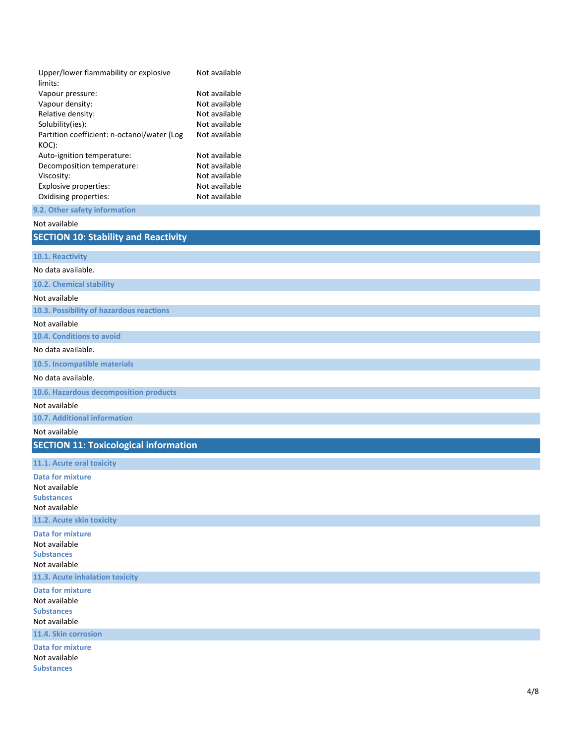| Upper/lower flammability or explosive       | Not available |
|---------------------------------------------|---------------|
| limits:                                     |               |
| Vapour pressure:                            | Not available |
| Vapour density:                             | Not available |
| Relative density:                           | Not available |
| Solubility(ies):                            | Not available |
| Partition coefficient: n-octanol/water (Log | Not available |
| KOC):                                       |               |
| Auto-ignition temperature:                  | Not available |
| Decomposition temperature:                  | Not available |
| Viscosity:                                  | Not available |
| <b>Explosive properties:</b>                | Not available |
| Oxidising properties:                       | Not available |
|                                             |               |

#### **9 . 2 . Other safety information**

## Not available

## **SECTION 10: Stability and Reactivity**

**10 . 1 . Reactivity**

#### No data available.

**10 . 2 . Chemical stability**

#### Not available

**10 . 3 . Possibility of hazardous reactions**

#### Not available

**10 . 4 . Conditions to avoid**

#### No data available.

**10 . 5 . Incompatible materials**

### No data available.

**10 . 6 . Hazardous decomposition products**

#### Not available

**10 . 7 . Additional information**

## Not available

**SECTION 11: Toxicological information**

#### **11 .1. Acute oral toxicity**

**Data for mixture** Not available **Substances** Not available **11 .2. Acute skin toxicity Data for mixture** Not available **Substances** Not available **11 .3. Acute inhalation toxicity Data for mixture** Not available **Substances** Not available **11 .4. Skin corrosion Data for mixture**

Not available **Substances**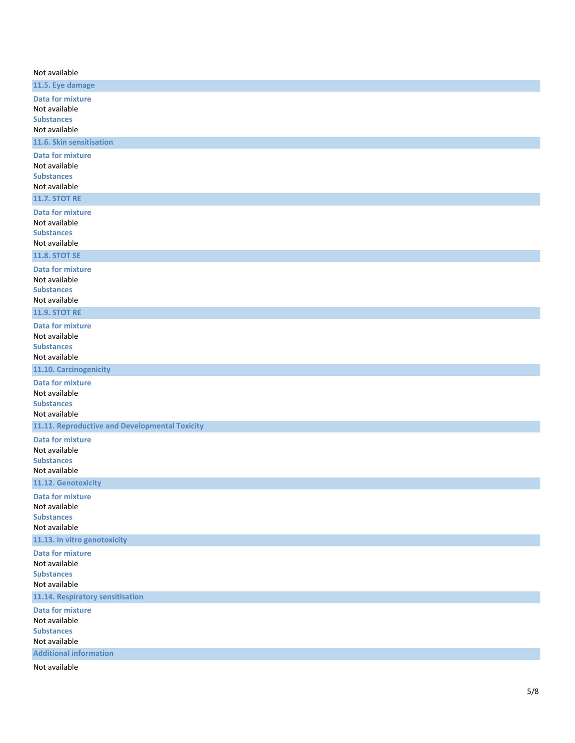| Not available<br>11.5. Eye damage<br><b>Data for mixture</b><br>Not available<br><b>Substances</b><br>Not available<br>11.6. Skin sensitisation<br><b>Data for mixture</b><br>Not available<br><b>Substances</b><br>Not available<br><b>11.7. STOT RE</b><br><b>Data for mixture</b><br>Not available<br><b>Substances</b><br>Not available<br><b>11.8. STOT SE</b><br><b>Data for mixture</b><br>Not available<br><b>Substances</b><br>Not available<br><b>11.9. STOT RE</b><br><b>Data for mixture</b><br>Not available<br><b>Substances</b><br>Not available<br>11.10. Carcinogenicity<br><b>Data for mixture</b><br>Not available<br><b>Substances</b><br>Not available<br>11.11. Reproductive and Developmental Toxicity<br><b>Data for mixture</b><br>Not available<br><b>Substances</b><br>Not available<br>11.12. Genotoxicity<br><b>Data for mixture</b><br>Not available<br><b>Substances</b><br>Not available<br>11.13. In vitro genotoxicity<br><b>Data for mixture</b><br>Not available<br><b>Substances</b><br>Not available |
|--------------------------------------------------------------------------------------------------------------------------------------------------------------------------------------------------------------------------------------------------------------------------------------------------------------------------------------------------------------------------------------------------------------------------------------------------------------------------------------------------------------------------------------------------------------------------------------------------------------------------------------------------------------------------------------------------------------------------------------------------------------------------------------------------------------------------------------------------------------------------------------------------------------------------------------------------------------------------------------------------------------------------------------------|
|                                                                                                                                                                                                                                                                                                                                                                                                                                                                                                                                                                                                                                                                                                                                                                                                                                                                                                                                                                                                                                            |
|                                                                                                                                                                                                                                                                                                                                                                                                                                                                                                                                                                                                                                                                                                                                                                                                                                                                                                                                                                                                                                            |
|                                                                                                                                                                                                                                                                                                                                                                                                                                                                                                                                                                                                                                                                                                                                                                                                                                                                                                                                                                                                                                            |
|                                                                                                                                                                                                                                                                                                                                                                                                                                                                                                                                                                                                                                                                                                                                                                                                                                                                                                                                                                                                                                            |
|                                                                                                                                                                                                                                                                                                                                                                                                                                                                                                                                                                                                                                                                                                                                                                                                                                                                                                                                                                                                                                            |
|                                                                                                                                                                                                                                                                                                                                                                                                                                                                                                                                                                                                                                                                                                                                                                                                                                                                                                                                                                                                                                            |
|                                                                                                                                                                                                                                                                                                                                                                                                                                                                                                                                                                                                                                                                                                                                                                                                                                                                                                                                                                                                                                            |
|                                                                                                                                                                                                                                                                                                                                                                                                                                                                                                                                                                                                                                                                                                                                                                                                                                                                                                                                                                                                                                            |
|                                                                                                                                                                                                                                                                                                                                                                                                                                                                                                                                                                                                                                                                                                                                                                                                                                                                                                                                                                                                                                            |
|                                                                                                                                                                                                                                                                                                                                                                                                                                                                                                                                                                                                                                                                                                                                                                                                                                                                                                                                                                                                                                            |
|                                                                                                                                                                                                                                                                                                                                                                                                                                                                                                                                                                                                                                                                                                                                                                                                                                                                                                                                                                                                                                            |
|                                                                                                                                                                                                                                                                                                                                                                                                                                                                                                                                                                                                                                                                                                                                                                                                                                                                                                                                                                                                                                            |
|                                                                                                                                                                                                                                                                                                                                                                                                                                                                                                                                                                                                                                                                                                                                                                                                                                                                                                                                                                                                                                            |
|                                                                                                                                                                                                                                                                                                                                                                                                                                                                                                                                                                                                                                                                                                                                                                                                                                                                                                                                                                                                                                            |
|                                                                                                                                                                                                                                                                                                                                                                                                                                                                                                                                                                                                                                                                                                                                                                                                                                                                                                                                                                                                                                            |
|                                                                                                                                                                                                                                                                                                                                                                                                                                                                                                                                                                                                                                                                                                                                                                                                                                                                                                                                                                                                                                            |
|                                                                                                                                                                                                                                                                                                                                                                                                                                                                                                                                                                                                                                                                                                                                                                                                                                                                                                                                                                                                                                            |
|                                                                                                                                                                                                                                                                                                                                                                                                                                                                                                                                                                                                                                                                                                                                                                                                                                                                                                                                                                                                                                            |
| 11.14. Respiratory sensitisation                                                                                                                                                                                                                                                                                                                                                                                                                                                                                                                                                                                                                                                                                                                                                                                                                                                                                                                                                                                                           |
| <b>Data for mixture</b><br>Not available<br><b>Substances</b><br>Not available                                                                                                                                                                                                                                                                                                                                                                                                                                                                                                                                                                                                                                                                                                                                                                                                                                                                                                                                                             |
| <b>Additional information</b><br>Not available                                                                                                                                                                                                                                                                                                                                                                                                                                                                                                                                                                                                                                                                                                                                                                                                                                                                                                                                                                                             |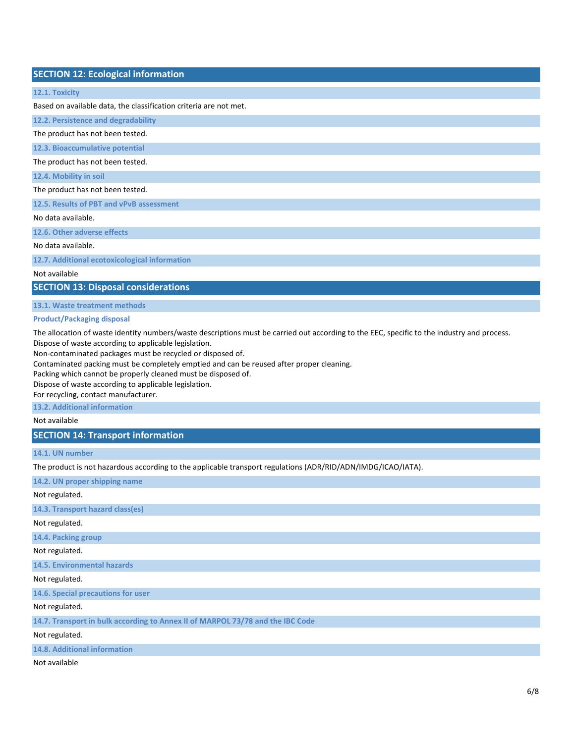### **SECTION 12: Ecological information**

## **12.1. Toxicity**

Based on available data, the classification criteria are not met.

**12.2. Persistence and degradability** The product has not been tested.

**12.3. Bioaccumulative potential**

The product has not been tested.

**12.4. Mobility in soil**

The product has not been tested.

**12.5. Results of PBT and vPvB assessment**

No data available.

**12.6. Other adverse effects**

No data available.

**12.7. Additional ecotoxicological information**

Not available

**SECTION 13: Disposal considerations**

**13.1. Waste treatment methods**

#### **Product/Packaging disposal**

The allocation of waste identity numbers/waste descriptions must be carried out according to the EEC, specific to the industry and process. Dispose of waste according to applicable legislation.

Non-contaminated packages must be recycled or disposed of.

Contaminated packing must be completely emptied and can be reused after proper cleaning.

Packing which cannot be properly cleaned must be disposed of.

Dispose of waste according to applicable legislation.

For recycling, contact manufacturer.

**13.2. Additional information**

Not available

**SECTION 14: Transport information**

#### **14.1. UN number**

The product is not hazardous according to the applicable transport regulations (ADR/RID/ADN/IMDG/ICAO/IATA).

**14.2. UN proper shipping name**

Not regulated.

**14.3. Transport hazard class(es)**

Not regulated.

**14.4. Packing group**

Not regulated.

**14.5. Environmental hazards**

Not regulated.

**14.6. Special precautions for user**

Not regulated.

**14.7. Transport in bulk according to Annex II of MARPOL 73/78 and the IBC Code**

Not regulated.

**14.8. Additional information**

Not available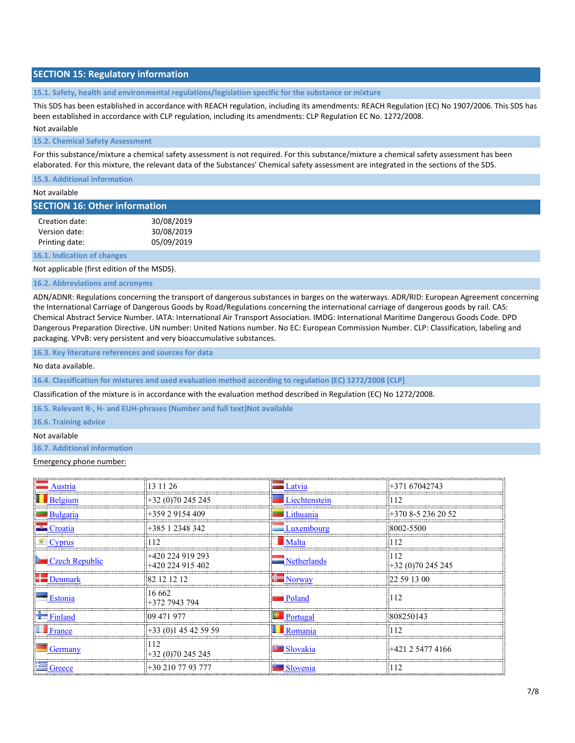## **SECTION 15: Regulatory information**

**15.1. Safety, health and environmental regulations/legislation specific for the substance or mixture**

This SDS has been established in accordance with REACH regulation, including its amendments: REACH Regulation (EC) No 1907/2006. This SDS has been established in accordance with CLP regulation, including its amendments: CLP Regulation EC No. 1272/2008.

#### Not available

#### **15.2. Chemical Safety Assessment**

For this substance/mixture a chemical safety assessment is not required. For this substance/mixture a chemical safety assessment has been elaborated. For this mixture, the relevant data of the Substances' Chemical safety assessment are integrated in the sections of the SDS.

**15.3. Additional information**

#### Not available

| <b>SECTION 16: Other information</b> |  |
|--------------------------------------|--|
|--------------------------------------|--|

| Creation date: | 30/08/2019 |
|----------------|------------|
| Version date:  | 30/08/2019 |
| Printing date: | 05/09/2019 |

**16.1. Indication of changes**

Not applicable (first edition of the MSDS).

#### **16.2. Abbreviations and acronyms**

ADN/ADNR: Regulations concerning the transport of dangerous substances in barges on the waterways. ADR/RID: European Agreement concerning the International Carriage of Dangerous Goods by Road/Regulations concerning the international carriage of dangerous goods by rail. CAS: Chemical Abstract Service Number. IATA: International Air Transport Association. IMDG: International Maritime Dangerous Goods Code. DPD Dangerous Preparation Directive. UN number: United Nations number. No EC: European Commission Number. CLP: Classification, labeling and packaging. VPvB: very persistent and very bioaccumulative substances.

**16.3. Key literature references and sources for data**

No data available.

**16.4. Classification for mixtures and used evaluation method according to regulation (EC) 1272/2008 [CLP]**

Classification of the mixture is in accordance with the evaluation method described in Regulation (EC) No 1272/2008.

**16.5. Relevant R-, H- and EUH-phrases (Number and full text)Not available**

**16.6. Training advice**

#### Not available

## **16.7. Additional information**

#### Emergency phone number:

| Austria                       | 13 11 26                             | Latvia                  | $+37167042743$                                            |
|-------------------------------|--------------------------------------|-------------------------|-----------------------------------------------------------|
| $\blacksquare$ Belgium        | +32 (0)70 245 245                    | Liechtenstein           | 12                                                        |
| Bulgaria                      | +359 2 9154 409                      | Lithuania               | $\pm$ 370 8-5 236 20 52                                   |
| $\blacksquare$ Croatia        | +385 1 2348 342                      | $\Box$ Luxembourg       | 8002-5500                                                 |
| Cyprus                        |                                      |                         |                                                           |
| $\blacksquare$ Czech Republic | +420 224 919 293<br>+420 224 915 402 | <b>Netherlands</b>      | $+32(0)70245245$                                          |
| Denmark                       |                                      | $\blacksquare$ Norway   | 122 59 13 00                                              |
| Estonia                       | 16 662<br>-372 7943 794              | Poland                  | 12                                                        |
| Finland                       | 09 471 977                           | $\blacksquare$ Portugal | 808250143                                                 |
| France                        | +33 (0)1 45 42 59 59                 | Romania                 | <u> Laurenten eta erretarra erresta erresta erresta e</u> |
| Germany                       | 12<br>$+32(0)70245245$               | ■ Slovakia              | +421 2 5477 4166                                          |
| Greece                        | $+302107793777$                      | Slovenia                |                                                           |